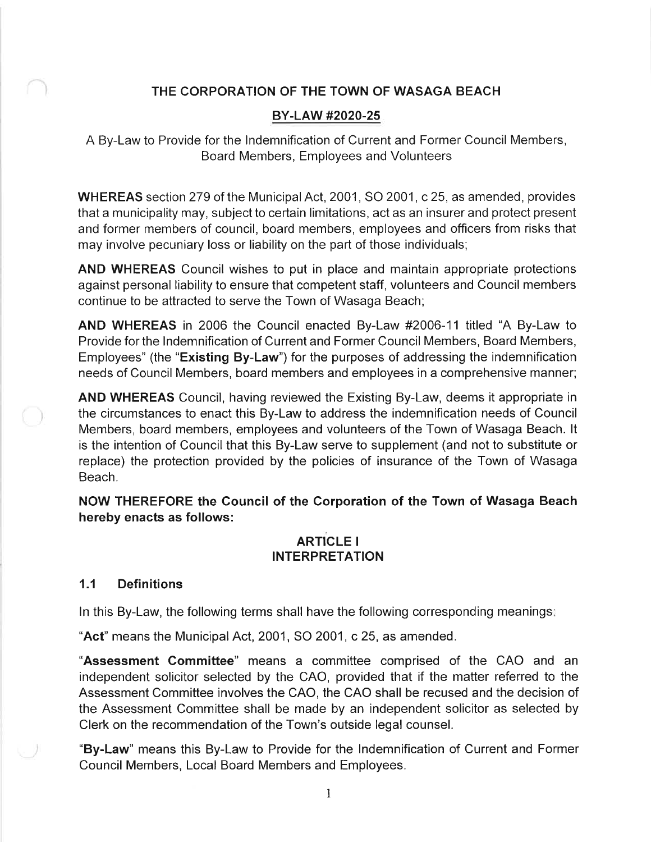## THE CORPORATION OF THE TOWN OF WASAGA BEACH

#### BY-LAW #2020-25

A By-Law to Provide for the lndemnification of Current and Former Council Members, Board Members, Employees and Volunteers

WHEREAS section 279 of the Municipal Act, 2001, SO 2001, c 25, as amended, provides that a municipality may, subject to certain limitations, act as an insurer and protect present and former members of council, board members, employees and officers from risks that may involve pecuniary loss or liability on the part of those individuals;

AND WHEREAS Council wishes to put in place and maintain appropriate protections against personal liability to ensure that competent staff, volunteers and Council members continue to be attracted to serve the Town of Wasaga Beach;

AND WHEREAS in 2006 the Council enacted By-Law #2006-11 titled "A By-Law to Provide for the lndemnification of Current and Former Council Members, Board Members, Employees" (the "Existing By-Law") for the purposes of addressing the indemnification needs of Council Members, board members and employees in a comprehensive manner;

AND WHEREAS Council, having reviewed the Existing By-Law, deems it appropriate in the circumstances to enact this By-Law to address the indemnification needs of Council Members, board members, employees and volunteers of the Town of Wasaga Beach. lt is the intention of Council that this By-Law serve to supplement (and not to substitute or replace) the protection provided by the policies of insurance of the Town of Wasaga Beach.

NOW THEREFORE the Council of the Gorporation of the Town of Wasaga Beach hereby enacts as follows:

#### ARTiCLE <sup>I</sup> INTERPRETATION

#### 1.1 Definitions

ln this By-Law, the following terms shall have the following corresponding meanings

"Act" means the Municipal Act, 2001, SO 2001, c 25, as amended.

"Assessment Gommittee" means a committee comprised of the CAO and an independent solicitor selected by the CAO, provided that if the matter referred to the Assessment Committee involves the CAO, the CAO shall be recused and the decision of the Assessment Committee shall be made by an independent solicitor as selected by Clerk on the recommendation of the Town's outside legal counsel.

"By-Law" means this By-Law to Provide for the lndemnification of Current and Former Council Members, Local Board Members and Employees.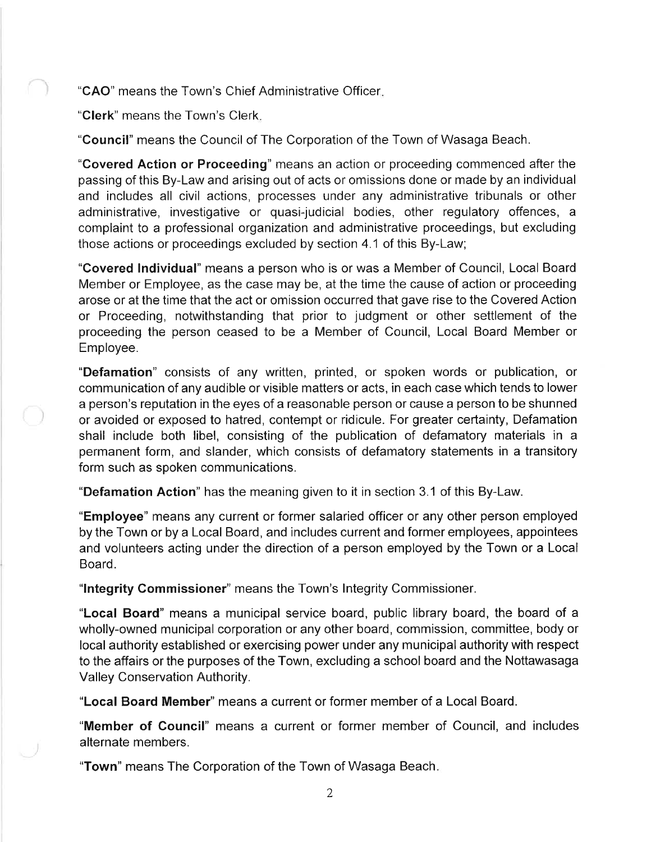"CAO' means the Town's Chief Administrative Officer

"Clerk" means the Town's Clerk

"Council" means the Council of The Corporation of the Town of Wasaga Beach.

"Covered Action or Proceeding" means an action or proceeding commenced after the passing of this By-Law and arising out of acts or omissions done or made by an individual and includes all civil actions, processes under any administrative tribunals or other administrative, investigative or quasi-judicial bodies, other regulatory offences, <sup>a</sup> complaint to a professional organization and administrative proceedings, but excluding those actions or proceedings excluded by section 4.1 of this By-Law;

"Covered lndividual" means a person who is or was a Member of Council, Local Board Member or Employee, as the case may be, at the time the cause of action or proceeding arose or at the time that the act or omission occurred that gave rise to the Covered Action or Proceeding, notwithstanding that prior to judgment or other settlement of the proceeding the person ceased to be a Member of Council, Local Board Member or Employee.

"Defamation" consists of any written, printed, or spoken words or publication, or communication of any audible or visible matters or acts, in each case which tends to lower a person's reputation in the eyes of a reasonable person or cause a person to be shunned or avoided or exposed to hatred, contempt or ridicule. For greater certainty, Defamation shall include both libel, consisting of the publication of defamatory materials in <sup>a</sup> permanent form, and slander, which consists of defamatory statements in a transitory form such as spoken communications.

"Defamation Action" has the meaning given to it in section 3.1 of this By-Law.

"Employee" means any current or former salaried officer or any other person employed by the Town or by a Local Board, and includes current and former employees, appointees and volunteers acting under the direction of a person employed by the Town or a Local Board.

"lntegrity Gommissioner" means the Town's Integrity Commissioner.

"Local Board" means a municipal service board, public library board, the board of a wholly-owned municipal corporation or any other board, commission, committee, body or local authority established or exercising power under any municipal authority with respect to the affairs or the purposes of the Town, excluding a school board and the Nottawasaga Valley Conservation Authority.

"Local Board Member" means a current or former member of a Local Board.

"Member of Gouncil" means a current or former member of Council, and includes alternate members.

"Town" means The Corporation of the Town of Wasaga Beach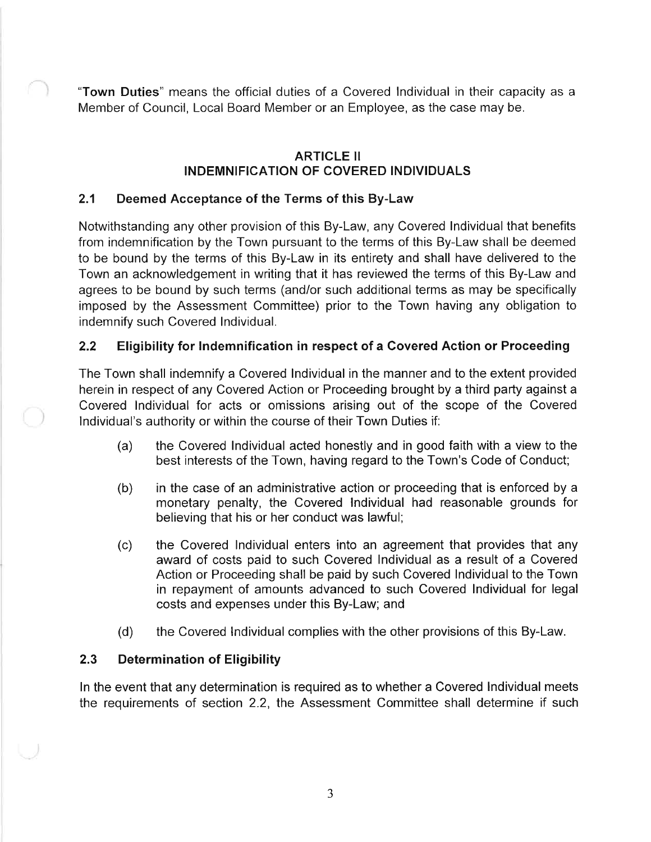"Town Duties" means the official duties of a Covered lndividual in their capacity as <sup>a</sup> Member of Council, Local Board Member or an Employee, as the case may be.

## ARTICLE II INDEMNIFICATION OF COVERED INDIVIDUALS

# 2.1 Deemed Acceptance of the Terms of this By-Law

Notwithstanding any other provision of this By-Law, any Covered lndividual that benefits from indemnification by the Town pursuant to the terms of this By-Law shall be deemed to be bound by the terms of this By-Law in its entirety and shall have delivered to the Town an acknowledgement in writing that it has reviewed the terms of this By-Law and agrees to be bound by such terms (and/or such additional terms as may be specifically imposed by the Assessment Committee) prior to the Town having any obligation to indemnify such Covered lndividual.

# 2.2 Eligibility for lndemnification in respect of a Covered Action or Proceeding

The Town shall indemnify a Covered lndividual in the manner and to the extent provided herein in respect of any Covered Action or Proceeding brought by a third party against a Covered lndividual for acts or omissions arising out of the scope of the Covered lndividual's authority or within the course of their Town Duties if:

- (a) the Covered lndividual acted honestly and in good faith with a view to the best interests of the Town, having regard to the Town's Code of Conduct;
- (b) in the case of an administrative action or proceeding that is enforced by <sup>a</sup> monetary penalty, the Covered lndividual had reasonable grounds for believing that his or her conduct was lawful;
- (c) the Covered lndividual enters into an agreement that provides that any award of costs paid to such Covered lndividual as a result of a Covered Action or Proceeding shall be paid by such Covered lndividual to the Town in repayment of amounts advanced to such Covered lndividual for legal costs and expenses under this By-Law; and
- (d) the Covered lndividual complies with the other provisions of this By-Law.

## 2.3 Determination of Eligibility

ln the event that any determination is required as to whether a Covered lndividual meets the requirements of section 2.2, the Assessment Committee shall determine if such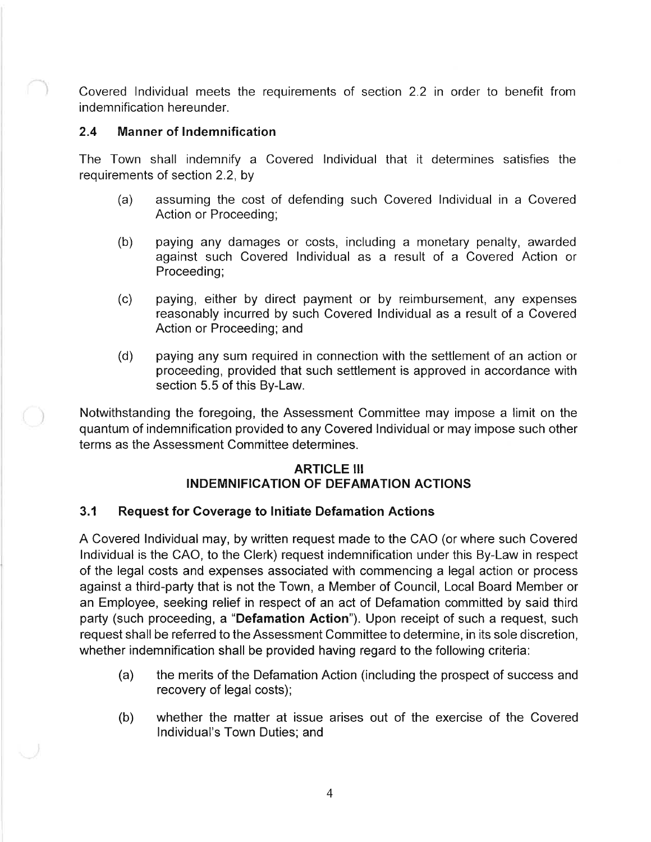Covered lndividual meets the requirements of section 2.2 in order to benefit from indemnification hereunder.

## 2.4 Manner of lndemnification

The Town shall indemnify a Covered lndividual that it determines satisfies the requirements of section 2.2, by

- (a) assuming the cost of defending such Covered lndividual in a Covered Action or Proceeding;
- (b) paying any damages or costs, including a monetary penalty, awarded against such Covered lndividual as a result of a Covered Action or Proceeding;
- (c) paying, either by direct payment or by reimbursement, any expenses reasonably incurred by such Covered lndividual as a result of a Covered Action or Proceeding; and
- (d) paying any sum required in connection with the settlement of an action or proceeding, provided that such settlement is approved in accordance with section 5.5 of this By-Law.

Notwithstanding the foregoing, the Assessment Committee may impose a limit on the quantum of indemnification provided to any Covered lndividual or may impose such other terms as the Assessment Committee determines.

## **ARTICLE III** INDEMNIFICATION OF DEFAMATION ACTIONS

## 3.1 Request for Coverage to lnitiate Defamation Actions

A Covered lndividual may, by written request made to the CAO (or where such Covered lndividual is the CAO, to the Clerk) request indemnification under this By-Law in respect of the legal costs and expenses associated with commencing a legal action or process against a third-party that is not the Town, a Member of Council, Local Board Member or an Employee, seeking relief in respect of an act of Defamation committed by said third party (such proceeding, a "Defamation Action"). Upon receipt of such a request, such request shall be referred to the Assessment Committee to determine, in its sole discretion, whether indemnification shall be provided having regard to the following criteria:

- (a) the merits of the Defamation Action (including the prospect of success and recovery of legal costs);
- whether the matter at issue arises out of the exercise of the Covered lndividual's Town Duties; and (b)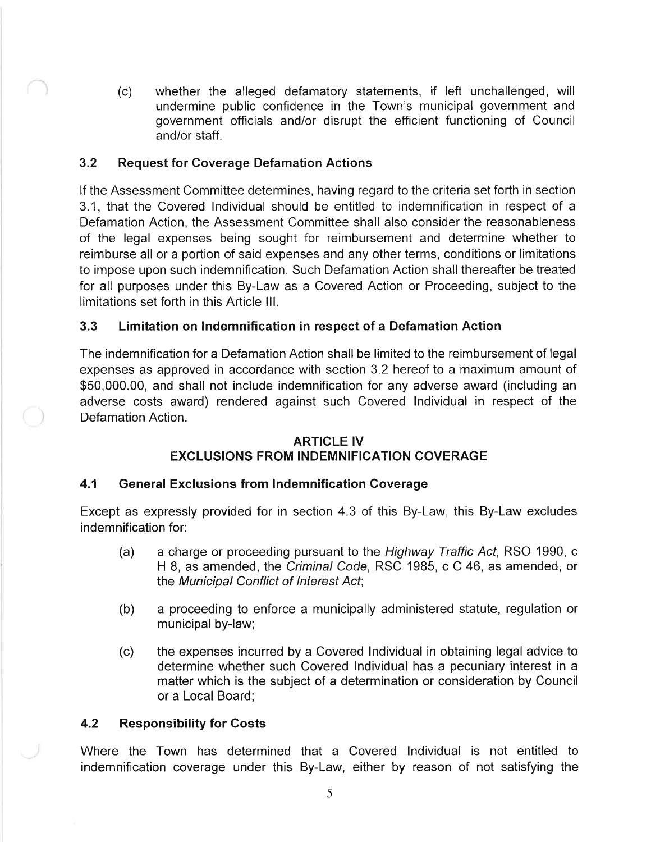(c) whether the alleged defamatory statements, if left unchallenged, will undermine public confidence in the Town's municipal government and government officials and/or disrupt the efficient functioning of Council and/or staff.

## 3.2 Request for Coverage Defamation Actions

lf the Assessment Committee determines, having regard to the criteria set forth in section 3.1, that the Covered lndividual should be entitled to indemnification in respect of a Defamation Action, the Assessment Committee shall also consider the reasonableness of the legal expenses being sought for reimbursement and determine whether to reimburse all or a portion of said expenses and any other terms, conditions or limitations to impose upon such indemnification. Such Defamation Action shall thereafter be treated for all purposes under this By-Law as a Covered Action or Proceeding, subject to the limitations set forth in this Article lll.

## 3.3 Limitation on lndemnification in respect of a Defamation Action

The indemnification for a Defamation Action shall be limited to the reimbursement of legal expenses as approved in accordance with section 3.2 hereof to a maximum amount of \$50,000.00, and shall not include indemnification for any adverse award (including an adverse costs award) rendered against such Covered lndividual in respect of the Defamation Action.

#### ARTICLE IV

# EXCLUSIONS FROM INDEMNIFICATION COVERAGE

## 4.1 General Exclusions from lndemnification Coverage

Except as expressly provided for in section 4.3 of this By-Law, this By-Law excludes indemnification for:

- (a) a charge or proceeding pursuant to the Highway Traffic Act, RSO 1990, c H 8, as amended, the Criminal Code, RSC 1985, c C 46, as amended, or the Municipal Conflict of Interest Act;
- (b) a proceeding to enforce a municipally administered statute, regulation or municipal by-law;
- (c) the expenses incurred by a Covered lndividual in obtaining legal advice to determine whether such Covered lndividual has a pecuniary interest in a matter which is the subject of a determination or consideration by Council or a Local Board;

## 4.2 Responsibility for Costs

Where the Town has determined that a Covered lndividual is not entitled to indemnification coverage under this By-Law, either by reason of not satisfying the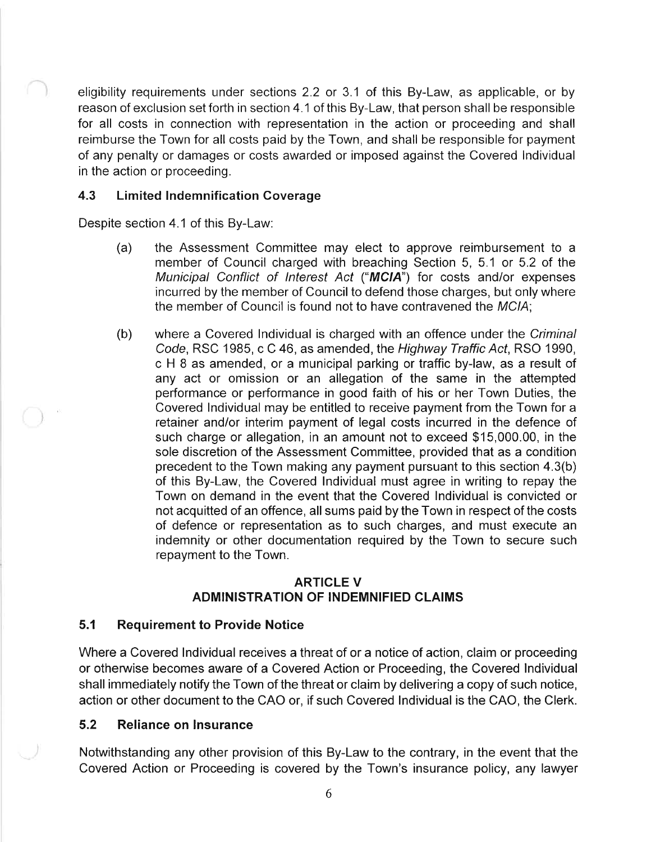eligibility requirements under sections 2.2 or 3.1 of this By-Law, as applicable, or by reason of exclusion set forth in section 4.1 of this By-Law, that person shall be responsible for all costs in connection with representation in the action or proceeding and shall reimburse the Town for all costs paid by the Town, and shall be responsible for payment of any penalty or damages or costs awarded or imposed against the Covered lndividual in the action or proceeding.

## 4.3 Limited Indemnification Coverage

Despite section 4.1 of this By-Law:

- (a) the Assessment Committee may elect to approve reimbursement to <sup>a</sup> member of Council charged with breaching Section 5, 5.1 or 5.2 of the Municipal Conflict of Interest Act ("MCIA") for costs and/or expenses incurred by the member of Council to defend those charges, but only where the member of Council is found not to have contravened the MCIA;
- (b) where a Covered lndividual is charged with an offence under the Criminal Code, RSC 1985, c C 46, as amended, the Highway Traffic Acf, RSO 1990, c H 8 as amended, or a municipal parking or traffic by-law, as a result of any act or omission or an allegation of the same in the attempted performance or performance in good faith of his or her Town Duties, the Covered lndividual may be entitled to receive payment from the Town for a retainer and/or interim payment of legal costs incurred in the defence of such charge or allegation, in an amount not to exceed \$15,000.00, in the sole discretion of the Assessment Committee, provided that as a condition precedent to the Town making any payment pursuant to this section 4.3(b) of this By-Law, the Covered lndividual must agree in writing to repay the Town on demand in the event that the Covered lndividual is convicted or not acquitted of an offence, all sums paid by the Town in respect of the costs of defence or representation as to such charges, and must execute an indemnity or other documentation required by the Town to secure such repayment to the Town.

## ARTICLE V ADMINISTRATION OF INDEMNIFIED CLAIMS

# 5.1 Requirement to Provide Notice

Where a Covered lndividual receives a threat of or a notice of action, claim or proceeding or otherwise becomes aware of a Covered Action or Proceeding, the Covered Individual shall immediately notify the Town of the threat or claim by delivering a copy of such notice, action or other document to the CAO or, if such Covered lndividual is the CAO, the Clerk.

# 5.2 Reliance on lnsurance

Notwithstanding any other provision of this By-Law to the contrary, in the event that the Covered Action or Proceeding is covered by the Town's insurance policy, any lawyer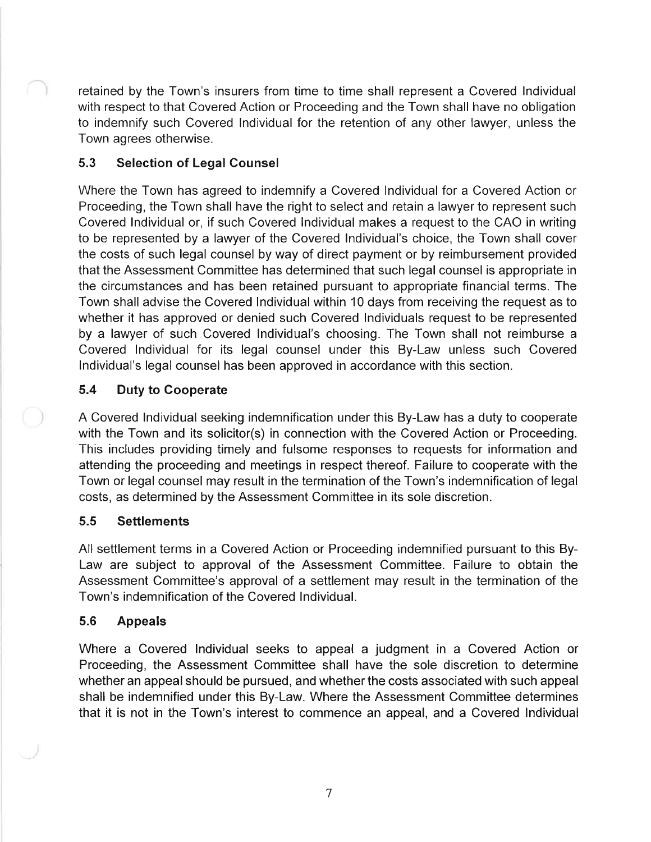retained by the Town's insurers from time to time shall represent a Covered lndividual with respect to that Covered Action or Proceeding and the Town shall have no obligation to indemnify such Covered lndividual for the retention of any other lawyer, unless the Town agrees otherwise.

# 5.3 Selection of Legal Counsel

Where the Town has agreed to indemnify a Covered lndividual for a Covered Action or Proceeding, the Town shall have the right to select and retain a lawyer to represent such Covered lndividual or, if such Covered lndividual makes a request to the CAO in writing to be represented by a lawyer of the Covered lndividual's choice, the Town shall cover the costs of such legal counsel by way of direct payment or by reimbursement provided that the Assessment Committee has determined that such legal counsel is appropriate in the circumstances and has been retained pursuant to appropriate financial terms. The Town shall advise the Covered lndividual within 10 days from receiving the request as to whether it has approved or denied such Covered lndividuals request to be represented by a lawyer of such Covered lndividual's choosing. The Town shall not reimburse <sup>a</sup> Covered lndividual for its legal counsel under this By-Law unless such Covered lndividual's legal counsel has been approved in accordance with this section.

## 5.4 Duty to Cooperate

A Covered lndividual seeking indemnification under this By-Law has a duty to cooperate with the Town and its solicitor(s) in connection with the Covered Action or Proceeding. This includes providing timely and fulsome responses to requests for information and attending the proceeding and meetings in respect thereof. Failure to cooperate with the Town or legal counsel may result in the termination of the Town's indemnification of legal costs, as determined by the Assessment Committee in its sole discretion.

## 5.5 Settlements

All settlement terms in a Covered Action or Proceeding indemnified pursuant to this By-Law are subject to approval of the Assessment Committee. Failure to obtain the Assessment Committee's approval of a settlement may result in the termination of the Town's indemnification of the Covered lndividual.

## 5.6 Appeals

Where a Covered lndividual seeks to appeal a judgment in a Covered Action or Proceeding, the Assessment Committee shall have the sole discretion to determine whether an appeal should be pursued, and whether the costs associated with such appeal shall be indemnified under this By-Law. Where the Assessment Committee determines that it is not in the Town's interest to commence an appeal, and a Covered lndividual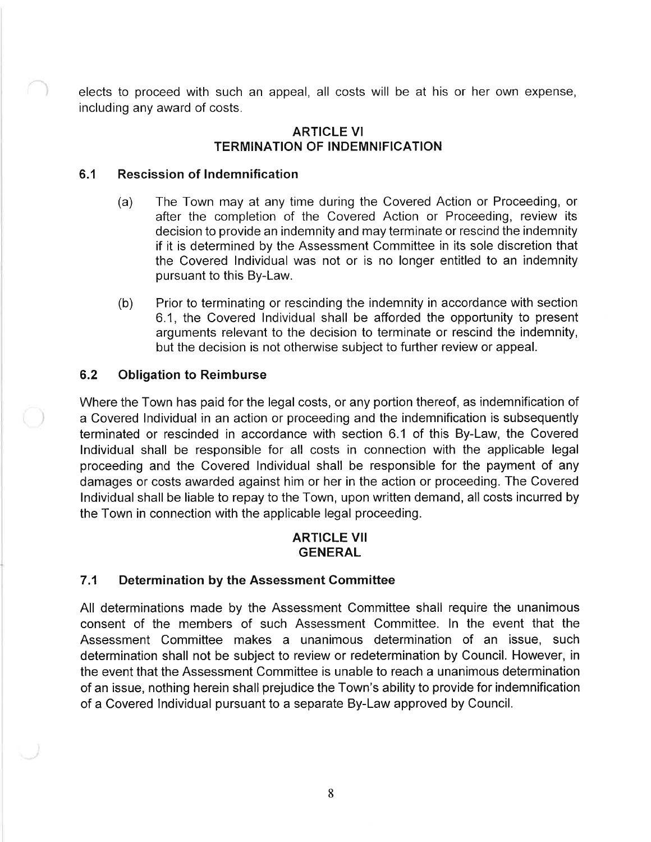elects to proceed with such an appeal, all costs will be at his or her own expense, including any award of costs.

#### ARTICLE VI TERMINATION OF INDEMNIFICATION

#### 6.1 Rescission of lndemnification

- (a) The Town may at any time during the Covered Action or Proceeding, or after the completion of the Covered Action or Proceeding, review its decision to provide an indemnity and may terminate or rescind the indemnity if it is determined by the Assessment Committee in its sole discretion that the Covered lndividual was not or is no longer entitled to an indemnity pursuant to this By-Law.
- (b) Prior to terminating or rescinding the indemnity in accordance with section 6.1, the Covered lndividual shall be afforded the opportunity to present arguments relevant to the decision to terminate or rescind the indemnity, but the decision is not otherwise subject to further review or appeal.

#### 6.2 Obligation to Reimburse

Where the Town has paid for the legal costs, or any portion thereof, as indemnification of a Covered lndividual in an action or proceeding and the indemnification is subsequently terminated or rescinded in accordance with section 6.1 of this By-Law, the Covered lndividual shall be responsible for all costs in connection with the applicable legal proceeding and the Covered lndividual shall be responsible for the payment of any damages or costs awarded against him or her in the action or proceeding. The Covered lndividual shall be liable to repay to the Town, upon written demand, all costs incurred by the Town in connection with the applicable legal proceeding.

## ARTICLE VII **GENERAL**

#### 7.1 Determination by the Assessment Committee

All determinations made by the Assessment Committee shall require the unanimous consent of the members of such Assessment Committee. ln the event that the Assessment Committee makes a unanimous determination of an issue, such determination shall not be subject to review or redetermination by Council. However, in the event that the Assessment Committee is unable to reach a unanimous determination of an issue, nothing herein shall prejudice the Town's ability to provide for indemnification of a Covered lndividual pursuant to a separate By-Law approved by Council.